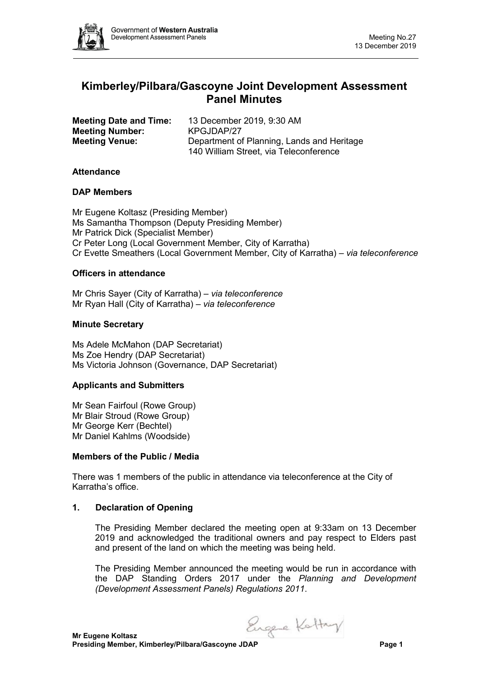

# **Kimberley/Pilbara/Gascoyne Joint Development Assessment Panel Minutes**

| <b>Meeting Date and Time:</b> | 13 December 2019, 9:30 AM                  |  |
|-------------------------------|--------------------------------------------|--|
| <b>Meeting Number:</b>        | KPGJDAP/27                                 |  |
| <b>Meeting Venue:</b>         | Department of Planning, Lands and Heritage |  |
|                               | 140 William Street, via Teleconference     |  |

### **Attendance**

### **DAP Members**

Mr Eugene Koltasz (Presiding Member) Ms Samantha Thompson (Deputy Presiding Member) Mr Patrick Dick (Specialist Member) Cr Peter Long (Local Government Member, City of Karratha) Cr Evette Smeathers (Local Government Member, City of Karratha) – *via teleconference*

### **Officers in attendance**

Mr Chris Sayer (City of Karratha) – *via teleconference* Mr Ryan Hall (City of Karratha) – *via teleconference*

### **Minute Secretary**

Ms Adele McMahon (DAP Secretariat) Ms Zoe Hendry (DAP Secretariat) Ms Victoria Johnson (Governance, DAP Secretariat)

#### **Applicants and Submitters**

Mr Sean Fairfoul (Rowe Group) Mr Blair Stroud (Rowe Group) Mr George Kerr (Bechtel) Mr Daniel Kahlms (Woodside)

#### **Members of the Public / Media**

There was 1 members of the public in attendance via teleconference at the City of Karratha's office.

#### **1. Declaration of Opening**

The Presiding Member declared the meeting open at 9:33am on 13 December 2019 and acknowledged the traditional owners and pay respect to Elders past and present of the land on which the meeting was being held.

The Presiding Member announced the meeting would be run in accordance with the DAP Standing Orders 2017 under the *Planning and Development (Development Assessment Panels) Regulations 2011*.

Engele Kattry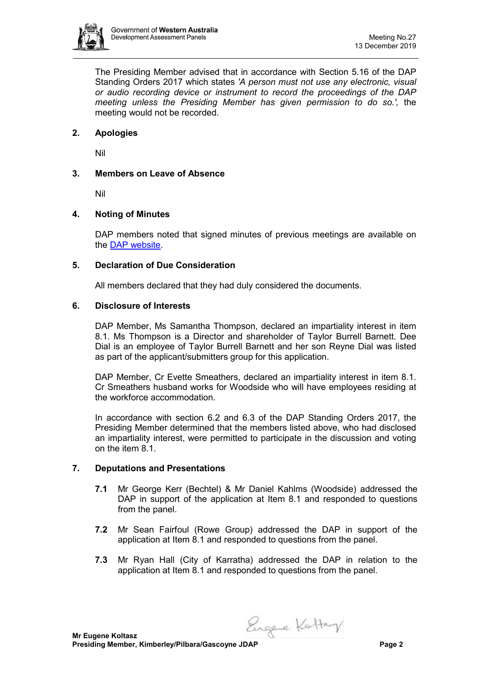

The Presiding Member advised that in accordance with Section 5.16 of the DAP Standing Orders 2017 which states *'A person must not use any electronic, visual or audio recording device or instrument to record the proceedings of the DAP meeting unless the Presiding Member has given permission to do so.',* the meeting would not be recorded.

# **2. Apologies**

Nil

# **3. Members on Leave of Absence**

Nil

# **4. Noting of Minutes**

DAP members noted that signed minutes of previous meetings are available on the [DAP website.](https://www.dplh.wa.gov.au/about/development-assessment-panels/daps-agendas-and-minutes)

# **5. Declaration of Due Consideration**

All members declared that they had duly considered the documents.

### **6. Disclosure of Interests**

DAP Member, Ms Samantha Thompson, declared an impartiality interest in item 8.1. Ms Thompson is a Director and shareholder of Taylor Burrell Barnett. Dee Dial is an employee of Taylor Burrell Barnett and her son Reyne Dial was listed as part of the applicant/submitters group for this application.

DAP Member, Cr Evette Smeathers, declared an impartiality interest in item 8.1. Cr Smeathers husband works for Woodside who will have employees residing at the workforce accommodation.

In accordance with section 6.2 and 6.3 of the DAP Standing Orders 2017, the Presiding Member determined that the members listed above, who had disclosed an impartiality interest, were permitted to participate in the discussion and voting on the item 8.1.

# **7. Deputations and Presentations**

- **7.1** Mr George Kerr (Bechtel) & Mr Daniel Kahlms (Woodside) addressed the DAP in support of the application at Item 8.1 and responded to questions from the panel.
- **7.2** Mr Sean Fairfoul (Rowe Group) addressed the DAP in support of the application at Item 8.1 and responded to questions from the panel.
- **7.3** Mr Ryan Hall (City of Karratha) addressed the DAP in relation to the application at Item 8.1 and responded to questions from the panel.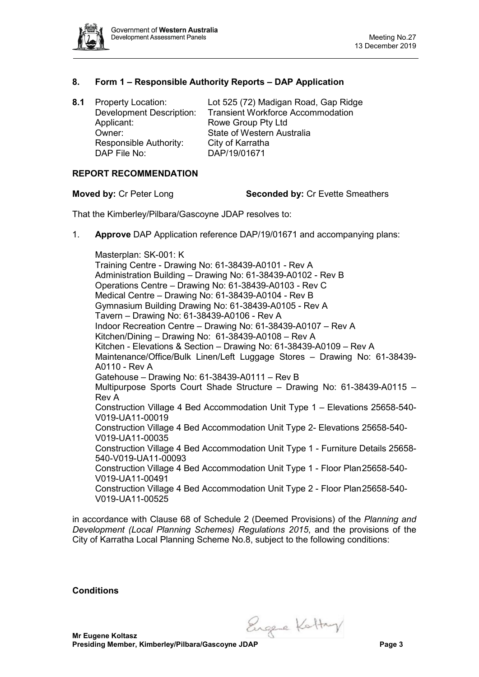

## **8. Form 1 – Responsible Authority Reports – DAP Application**

Applicant: Rowe Group Pty Ltd Owner: State of Western Australia Responsible Authority: City of Karratha<br>DAP File No: DAP/19/01671 DAP File No:

**8.1** Property Location: Lot 525 (72) Madigan Road, Gap Ridge **Transient Workforce Accommodation** 

### **REPORT RECOMMENDATION**

**Moved by:** Cr Peter Long **Seconded by:** Cr Evette Smeathers

That the Kimberley/Pilbara/Gascoyne JDAP resolves to:

1. **Approve** DAP Application reference DAP/19/01671 and accompanying plans:

Masterplan: SK-001: K Training Centre - Drawing No: 61-38439-A0101 - Rev A Administration Building – Drawing No: 61-38439-A0102 - Rev B Operations Centre – Drawing No: 61-38439-A0103 - Rev C Medical Centre – Drawing No: 61-38439-A0104 - Rev B Gymnasium Building Drawing No: 61-38439-A0105 - Rev A Tavern – Drawing No: 61-38439-A0106 - Rev A Indoor Recreation Centre – Drawing No: 61-38439-A0107 – Rev A Kitchen/Dining – Drawing No: 61-38439-A0108 – Rev A Kitchen - Elevations & Section – Drawing No: 61-38439-A0109 – Rev A Maintenance/Office/Bulk Linen/Left Luggage Stores – Drawing No: 61-38439- A0110 - Rev A Gatehouse – Drawing No: 61-38439-A0111 – Rev B Multipurpose Sports Court Shade Structure – Drawing No: 61-38439-A0115 – Rev A Construction Village 4 Bed Accommodation Unit Type 1 – Elevations 25658-540- V019-UA11-00019 Construction Village 4 Bed Accommodation Unit Type 2- Elevations 25658-540- V019-UA11-00035 Construction Village 4 Bed Accommodation Unit Type 1 - Furniture Details 25658- 540-V019-UA11-00093 Construction Village 4 Bed Accommodation Unit Type 1 - Floor Plan25658-540- V019-UA11-00491 Construction Village 4 Bed Accommodation Unit Type 2 - Floor Plan25658-540- V019-UA11-00525

in accordance with Clause 68 of Schedule 2 (Deemed Provisions) of the *Planning and Development (Local Planning Schemes) Regulations 2015*, and the provisions of the City of Karratha Local Planning Scheme No.8, subject to the following conditions:

**Conditions** 

Engele Kattry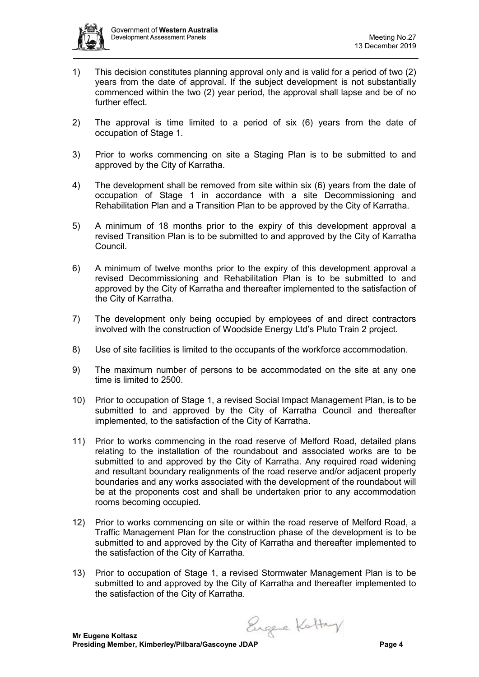

- 1) This decision constitutes planning approval only and is valid for a period of two (2) years from the date of approval. If the subject development is not substantially commenced within the two (2) year period, the approval shall lapse and be of no further effect.
- 2) The approval is time limited to a period of six (6) years from the date of occupation of Stage 1.
- 3) Prior to works commencing on site a Staging Plan is to be submitted to and approved by the City of Karratha.
- 4) The development shall be removed from site within six (6) years from the date of occupation of Stage 1 in accordance with a site Decommissioning and Rehabilitation Plan and a Transition Plan to be approved by the City of Karratha.
- 5) A minimum of 18 months prior to the expiry of this development approval a revised Transition Plan is to be submitted to and approved by the City of Karratha Council.
- 6) A minimum of twelve months prior to the expiry of this development approval a revised Decommissioning and Rehabilitation Plan is to be submitted to and approved by the City of Karratha and thereafter implemented to the satisfaction of the City of Karratha.
- 7) The development only being occupied by employees of and direct contractors involved with the construction of Woodside Energy Ltd's Pluto Train 2 project.
- 8) Use of site facilities is limited to the occupants of the workforce accommodation.
- 9) The maximum number of persons to be accommodated on the site at any one time is limited to 2500.
- 10) Prior to occupation of Stage 1, a revised Social Impact Management Plan, is to be submitted to and approved by the City of Karratha Council and thereafter implemented, to the satisfaction of the City of Karratha.
- 11) Prior to works commencing in the road reserve of Melford Road, detailed plans relating to the installation of the roundabout and associated works are to be submitted to and approved by the City of Karratha. Any required road widening and resultant boundary realignments of the road reserve and/or adjacent property boundaries and any works associated with the development of the roundabout will be at the proponents cost and shall be undertaken prior to any accommodation rooms becoming occupied.
- 12) Prior to works commencing on site or within the road reserve of Melford Road, a Traffic Management Plan for the construction phase of the development is to be submitted to and approved by the City of Karratha and thereafter implemented to the satisfaction of the City of Karratha.
- 13) Prior to occupation of Stage 1, a revised Stormwater Management Plan is to be submitted to and approved by the City of Karratha and thereafter implemented to the satisfaction of the City of Karratha.

Engele Kattry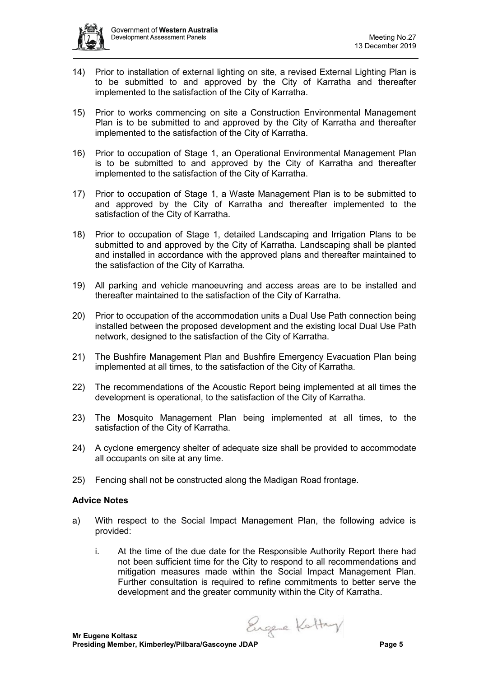

- 14) Prior to installation of external lighting on site, a revised External Lighting Plan is to be submitted to and approved by the City of Karratha and thereafter implemented to the satisfaction of the City of Karratha.
- 15) Prior to works commencing on site a Construction Environmental Management Plan is to be submitted to and approved by the City of Karratha and thereafter implemented to the satisfaction of the City of Karratha.
- 16) Prior to occupation of Stage 1, an Operational Environmental Management Plan is to be submitted to and approved by the City of Karratha and thereafter implemented to the satisfaction of the City of Karratha.
- 17) Prior to occupation of Stage 1, a Waste Management Plan is to be submitted to and approved by the City of Karratha and thereafter implemented to the satisfaction of the City of Karratha.
- 18) Prior to occupation of Stage 1, detailed Landscaping and Irrigation Plans to be submitted to and approved by the City of Karratha. Landscaping shall be planted and installed in accordance with the approved plans and thereafter maintained to the satisfaction of the City of Karratha.
- 19) All parking and vehicle manoeuvring and access areas are to be installed and thereafter maintained to the satisfaction of the City of Karratha.
- 20) Prior to occupation of the accommodation units a Dual Use Path connection being installed between the proposed development and the existing local Dual Use Path network, designed to the satisfaction of the City of Karratha.
- 21) The Bushfire Management Plan and Bushfire Emergency Evacuation Plan being implemented at all times, to the satisfaction of the City of Karratha.
- 22) The recommendations of the Acoustic Report being implemented at all times the development is operational, to the satisfaction of the City of Karratha.
- 23) The Mosquito Management Plan being implemented at all times, to the satisfaction of the City of Karratha.
- 24) A cyclone emergency shelter of adequate size shall be provided to accommodate all occupants on site at any time.
- 25) Fencing shall not be constructed along the Madigan Road frontage.

#### **Advice Notes**

- a) With respect to the Social Impact Management Plan, the following advice is provided:
	- i. At the time of the due date for the Responsible Authority Report there had not been sufficient time for the City to respond to all recommendations and mitigation measures made within the Social Impact Management Plan. Further consultation is required to refine commitments to better serve the development and the greater community within the City of Karratha.

Engere Kottay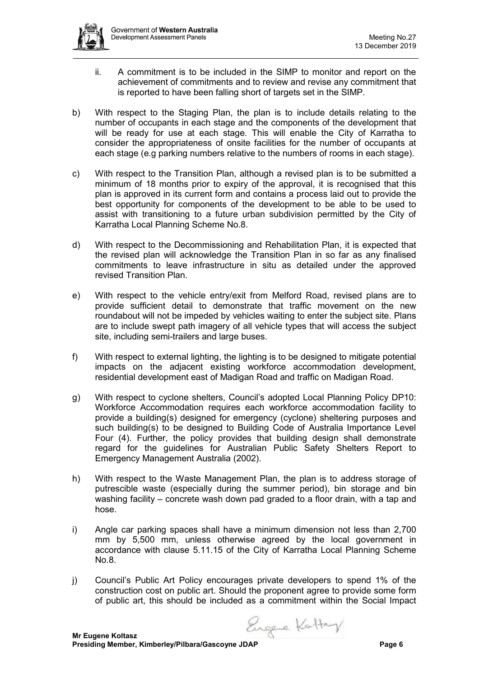

- ii. A commitment is to be included in the SIMP to monitor and report on the achievement of commitments and to review and revise any commitment that is reported to have been falling short of targets set in the SIMP.
- b) With respect to the Staging Plan, the plan is to include details relating to the number of occupants in each stage and the components of the development that will be ready for use at each stage. This will enable the City of Karratha to consider the appropriateness of onsite facilities for the number of occupants at each stage (e.g parking numbers relative to the numbers of rooms in each stage).
- c) With respect to the Transition Plan, although a revised plan is to be submitted a minimum of 18 months prior to expiry of the approval, it is recognised that this plan is approved in its current form and contains a process laid out to provide the best opportunity for components of the development to be able to be used to assist with transitioning to a future urban subdivision permitted by the City of Karratha Local Planning Scheme No.8.
- d) With respect to the Decommissioning and Rehabilitation Plan, it is expected that the revised plan will acknowledge the Transition Plan in so far as any finalised commitments to leave infrastructure in situ as detailed under the approved revised Transition Plan.
- e) With respect to the vehicle entry/exit from Melford Road, revised plans are to provide sufficient detail to demonstrate that traffic movement on the new roundabout will not be impeded by vehicles waiting to enter the subject site. Plans are to include swept path imagery of all vehicle types that will access the subject site, including semi-trailers and large buses.
- f) With respect to external lighting, the lighting is to be designed to mitigate potential impacts on the adjacent existing workforce accommodation development, residential development east of Madigan Road and traffic on Madigan Road.
- g) With respect to cyclone shelters, Council's adopted Local Planning Policy DP10: Workforce Accommodation requires each workforce accommodation facility to provide a building(s) designed for emergency (cyclone) sheltering purposes and such building(s) to be designed to Building Code of Australia Importance Level Four (4). Further, the policy provides that building design shall demonstrate regard for the guidelines for Australian Public Safety Shelters Report to Emergency Management Australia (2002).
- h) With respect to the Waste Management Plan, the plan is to address storage of putrescible waste (especially during the summer period), bin storage and bin washing facility – concrete wash down pad graded to a floor drain, with a tap and hose.
- i) Angle car parking spaces shall have a minimum dimension not less than 2,700 mm by 5,500 mm, unless otherwise agreed by the local government in accordance with clause 5.11.15 of the City of Karratha Local Planning Scheme No.8.
- j) Council's Public Art Policy encourages private developers to spend 1% of the construction cost on public art. Should the proponent agree to provide some form of public art, this should be included as a commitment within the Social Impact

Engere Kattry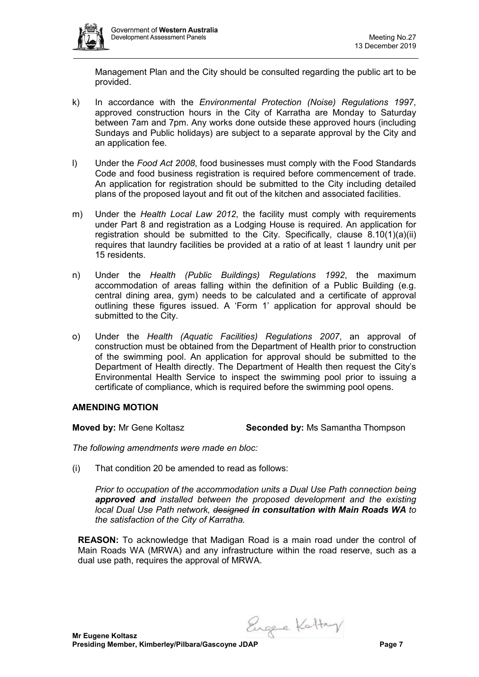

Management Plan and the City should be consulted regarding the public art to be provided.

- k) In accordance with the *Environmental Protection (Noise) Regulations 1997*, approved construction hours in the City of Karratha are Monday to Saturday between 7am and 7pm. Any works done outside these approved hours (including Sundays and Public holidays) are subject to a separate approval by the City and an application fee.
- l) Under the *Food Act 2008*, food businesses must comply with the Food Standards Code and food business registration is required before commencement of trade. An application for registration should be submitted to the City including detailed plans of the proposed layout and fit out of the kitchen and associated facilities.
- m) Under the *Health Local Law 2012*, the facility must comply with requirements under Part 8 and registration as a Lodging House is required. An application for registration should be submitted to the City. Specifically, clause 8.10(1)(a)(ii) requires that laundry facilities be provided at a ratio of at least 1 laundry unit per 15 residents.
- n) Under the *Health (Public Buildings) Regulations 1992*, the maximum accommodation of areas falling within the definition of a Public Building (e.g. central dining area, gym) needs to be calculated and a certificate of approval outlining these figures issued. A 'Form 1' application for approval should be submitted to the City.
- o) Under the *Health (Aquatic Facilities) Regulations 2007*, an approval of construction must be obtained from the Department of Health prior to construction of the swimming pool. An application for approval should be submitted to the Department of Health directly. The Department of Health then request the City's Environmental Health Service to inspect the swimming pool prior to issuing a certificate of compliance, which is required before the swimming pool opens.

# **AMENDING MOTION**

**Moved by:** Mr Gene Koltasz **Seconded by:** Ms Samantha Thompson

*The following amendments were made en bloc:*

(i) That condition 20 be amended to read as follows:

*Prior to occupation of the accommodation units a Dual Use Path connection being approved and installed between the proposed development and the existing local Dual Use Path network, designed in consultation with Main Roads WA to the satisfaction of the City of Karratha.*

**REASON:** To acknowledge that Madigan Road is a main road under the control of Main Roads WA (MRWA) and any infrastructure within the road reserve, such as a dual use path, requires the approval of MRWA.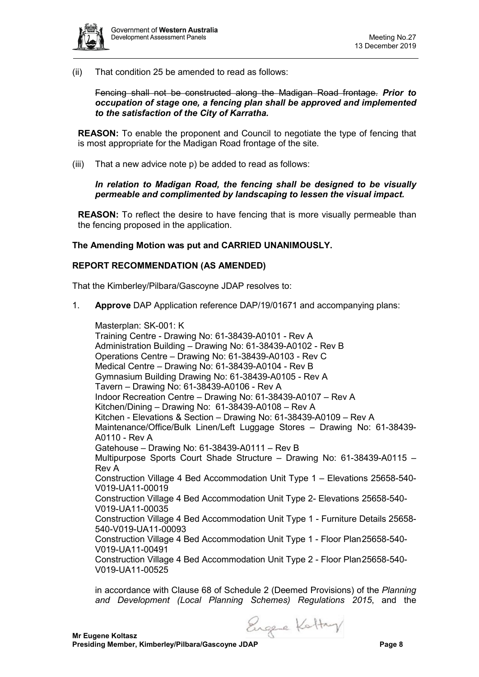

(ii) That condition 25 be amended to read as follows:

Fencing shall not be constructed along the Madigan Road frontage. *Prior to occupation of stage one, a fencing plan shall be approved and implemented to the satisfaction of the City of Karratha.*

**REASON:** To enable the proponent and Council to negotiate the type of fencing that is most appropriate for the Madigan Road frontage of the site.

(iii) That a new advice note p) be added to read as follows:

*In relation to Madigan Road, the fencing shall be designed to be visually permeable and complimented by landscaping to lessen the visual impact.* 

**REASON:** To reflect the desire to have fencing that is more visually permeable than the fencing proposed in the application.

### **The Amending Motion was put and CARRIED UNANIMOUSLY.**

#### **REPORT RECOMMENDATION (AS AMENDED)**

That the Kimberley/Pilbara/Gascoyne JDAP resolves to:

1. **Approve** DAP Application reference DAP/19/01671 and accompanying plans:

Masterplan: SK-001: K Training Centre - Drawing No: 61-38439-A0101 - Rev A Administration Building – Drawing No: 61-38439-A0102 - Rev B Operations Centre – Drawing No: 61-38439-A0103 - Rev C Medical Centre – Drawing No: 61-38439-A0104 - Rev B Gymnasium Building Drawing No: 61-38439-A0105 - Rev A Tavern – Drawing No: 61-38439-A0106 - Rev A Indoor Recreation Centre – Drawing No: 61-38439-A0107 – Rev A Kitchen/Dining – Drawing No: 61-38439-A0108 – Rev A Kitchen - Elevations & Section – Drawing No: 61-38439-A0109 – Rev A Maintenance/Office/Bulk Linen/Left Luggage Stores – Drawing No: 61-38439- A0110 - Rev A Gatehouse – Drawing No: 61-38439-A0111 – Rev B Multipurpose Sports Court Shade Structure – Drawing No: 61-38439-A0115 – Rev A Construction Village 4 Bed Accommodation Unit Type 1 – Elevations 25658-540- V019-UA11-00019 Construction Village 4 Bed Accommodation Unit Type 2- Elevations 25658-540- V019-UA11-00035 Construction Village 4 Bed Accommodation Unit Type 1 - Furniture Details 25658- 540-V019-UA11-00093 Construction Village 4 Bed Accommodation Unit Type 1 - Floor Plan25658-540- V019-UA11-00491 Construction Village 4 Bed Accommodation Unit Type 2 - Floor Plan25658-540- V019-UA11-00525

in accordance with Clause 68 of Schedule 2 (Deemed Provisions) of the *Planning and Development (Local Planning Schemes) Regulations 2015*, and the

Engele Kattay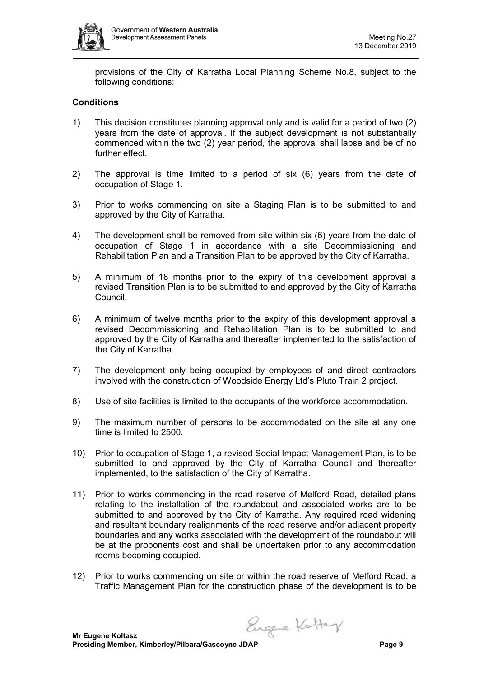

provisions of the City of Karratha Local Planning Scheme No.8, subject to the following conditions:

# **Conditions**

- 1) This decision constitutes planning approval only and is valid for a period of two (2) years from the date of approval. If the subject development is not substantially commenced within the two (2) year period, the approval shall lapse and be of no further effect.
- 2) The approval is time limited to a period of six (6) years from the date of occupation of Stage 1.
- 3) Prior to works commencing on site a Staging Plan is to be submitted to and approved by the City of Karratha.
- 4) The development shall be removed from site within six (6) years from the date of occupation of Stage 1 in accordance with a site Decommissioning and Rehabilitation Plan and a Transition Plan to be approved by the City of Karratha.
- 5) A minimum of 18 months prior to the expiry of this development approval a revised Transition Plan is to be submitted to and approved by the City of Karratha Council.
- 6) A minimum of twelve months prior to the expiry of this development approval a revised Decommissioning and Rehabilitation Plan is to be submitted to and approved by the City of Karratha and thereafter implemented to the satisfaction of the City of Karratha.
- 7) The development only being occupied by employees of and direct contractors involved with the construction of Woodside Energy Ltd's Pluto Train 2 project.
- 8) Use of site facilities is limited to the occupants of the workforce accommodation.
- 9) The maximum number of persons to be accommodated on the site at any one time is limited to 2500.
- 10) Prior to occupation of Stage 1, a revised Social Impact Management Plan, is to be submitted to and approved by the City of Karratha Council and thereafter implemented, to the satisfaction of the City of Karratha.
- 11) Prior to works commencing in the road reserve of Melford Road, detailed plans relating to the installation of the roundabout and associated works are to be submitted to and approved by the City of Karratha. Any required road widening and resultant boundary realignments of the road reserve and/or adjacent property boundaries and any works associated with the development of the roundabout will be at the proponents cost and shall be undertaken prior to any accommodation rooms becoming occupied.
- 12) Prior to works commencing on site or within the road reserve of Melford Road, a Traffic Management Plan for the construction phase of the development is to be

Engere Kottay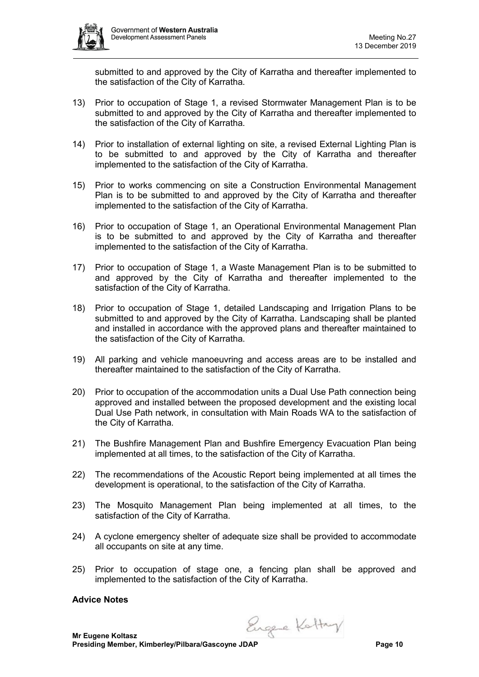

submitted to and approved by the City of Karratha and thereafter implemented to the satisfaction of the City of Karratha.

- 13) Prior to occupation of Stage 1, a revised Stormwater Management Plan is to be submitted to and approved by the City of Karratha and thereafter implemented to the satisfaction of the City of Karratha.
- 14) Prior to installation of external lighting on site, a revised External Lighting Plan is to be submitted to and approved by the City of Karratha and thereafter implemented to the satisfaction of the City of Karratha.
- 15) Prior to works commencing on site a Construction Environmental Management Plan is to be submitted to and approved by the City of Karratha and thereafter implemented to the satisfaction of the City of Karratha.
- 16) Prior to occupation of Stage 1, an Operational Environmental Management Plan is to be submitted to and approved by the City of Karratha and thereafter implemented to the satisfaction of the City of Karratha.
- 17) Prior to occupation of Stage 1, a Waste Management Plan is to be submitted to and approved by the City of Karratha and thereafter implemented to the satisfaction of the City of Karratha.
- 18) Prior to occupation of Stage 1, detailed Landscaping and Irrigation Plans to be submitted to and approved by the City of Karratha. Landscaping shall be planted and installed in accordance with the approved plans and thereafter maintained to the satisfaction of the City of Karratha.
- 19) All parking and vehicle manoeuvring and access areas are to be installed and thereafter maintained to the satisfaction of the City of Karratha.
- 20) Prior to occupation of the accommodation units a Dual Use Path connection being approved and installed between the proposed development and the existing local Dual Use Path network, in consultation with Main Roads WA to the satisfaction of the City of Karratha.
- 21) The Bushfire Management Plan and Bushfire Emergency Evacuation Plan being implemented at all times, to the satisfaction of the City of Karratha.
- 22) The recommendations of the Acoustic Report being implemented at all times the development is operational, to the satisfaction of the City of Karratha.
- 23) The Mosquito Management Plan being implemented at all times, to the satisfaction of the City of Karratha.
- 24) A cyclone emergency shelter of adequate size shall be provided to accommodate all occupants on site at any time.
- 25) Prior to occupation of stage one, a fencing plan shall be approved and implemented to the satisfaction of the City of Karratha.

#### **Advice Notes**

Engele Kattry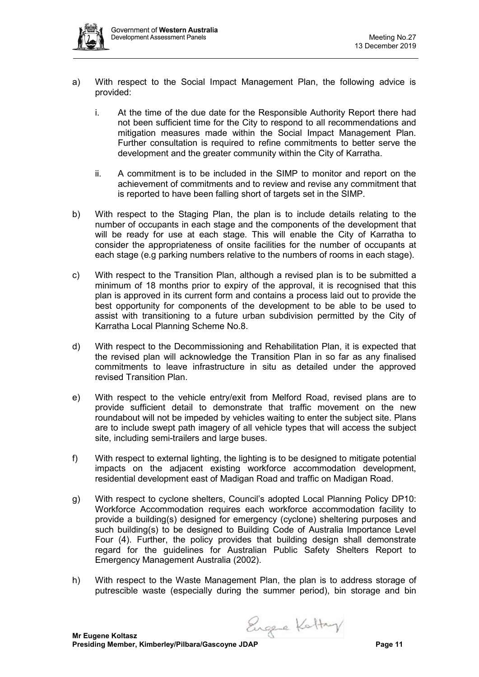- a) With respect to the Social Impact Management Plan, the following advice is provided:
	- i. At the time of the due date for the Responsible Authority Report there had not been sufficient time for the City to respond to all recommendations and mitigation measures made within the Social Impact Management Plan. Further consultation is required to refine commitments to better serve the development and the greater community within the City of Karratha.
	- ii. A commitment is to be included in the SIMP to monitor and report on the achievement of commitments and to review and revise any commitment that is reported to have been falling short of targets set in the SIMP.
- b) With respect to the Staging Plan, the plan is to include details relating to the number of occupants in each stage and the components of the development that will be ready for use at each stage. This will enable the City of Karratha to consider the appropriateness of onsite facilities for the number of occupants at each stage (e.g parking numbers relative to the numbers of rooms in each stage).
- c) With respect to the Transition Plan, although a revised plan is to be submitted a minimum of 18 months prior to expiry of the approval, it is recognised that this plan is approved in its current form and contains a process laid out to provide the best opportunity for components of the development to be able to be used to assist with transitioning to a future urban subdivision permitted by the City of Karratha Local Planning Scheme No.8.
- d) With respect to the Decommissioning and Rehabilitation Plan, it is expected that the revised plan will acknowledge the Transition Plan in so far as any finalised commitments to leave infrastructure in situ as detailed under the approved revised Transition Plan.
- e) With respect to the vehicle entry/exit from Melford Road, revised plans are to provide sufficient detail to demonstrate that traffic movement on the new roundabout will not be impeded by vehicles waiting to enter the subject site. Plans are to include swept path imagery of all vehicle types that will access the subject site, including semi-trailers and large buses.
- f) With respect to external lighting, the lighting is to be designed to mitigate potential impacts on the adjacent existing workforce accommodation development, residential development east of Madigan Road and traffic on Madigan Road.
- g) With respect to cyclone shelters, Council's adopted Local Planning Policy DP10: Workforce Accommodation requires each workforce accommodation facility to provide a building(s) designed for emergency (cyclone) sheltering purposes and such building(s) to be designed to Building Code of Australia Importance Level Four (4). Further, the policy provides that building design shall demonstrate regard for the guidelines for Australian Public Safety Shelters Report to Emergency Management Australia (2002).
- h) With respect to the Waste Management Plan, the plan is to address storage of putrescible waste (especially during the summer period), bin storage and bin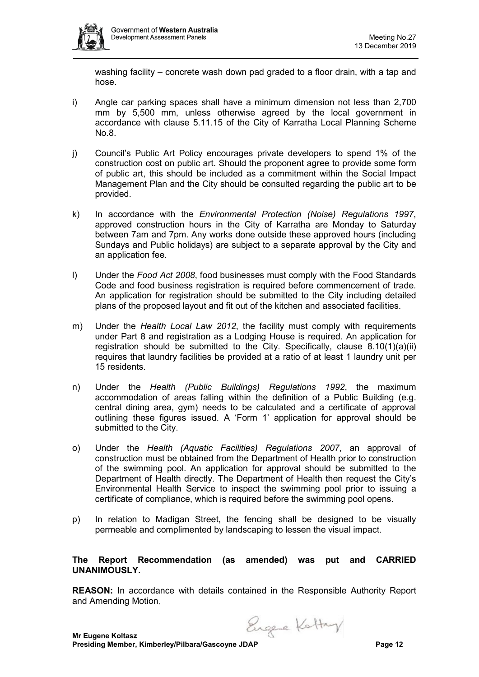

washing facility – concrete wash down pad graded to a floor drain, with a tap and hose.

- i) Angle car parking spaces shall have a minimum dimension not less than 2,700 mm by 5,500 mm, unless otherwise agreed by the local government in accordance with clause 5.11.15 of the City of Karratha Local Planning Scheme No.8.
- j) Council's Public Art Policy encourages private developers to spend 1% of the construction cost on public art. Should the proponent agree to provide some form of public art, this should be included as a commitment within the Social Impact Management Plan and the City should be consulted regarding the public art to be provided.
- k) In accordance with the *Environmental Protection (Noise) Regulations 1997*, approved construction hours in the City of Karratha are Monday to Saturday between 7am and 7pm. Any works done outside these approved hours (including Sundays and Public holidays) are subject to a separate approval by the City and an application fee.
- l) Under the *Food Act 2008*, food businesses must comply with the Food Standards Code and food business registration is required before commencement of trade. An application for registration should be submitted to the City including detailed plans of the proposed layout and fit out of the kitchen and associated facilities.
- m) Under the *Health Local Law 2012*, the facility must comply with requirements under Part 8 and registration as a Lodging House is required. An application for registration should be submitted to the City. Specifically, clause 8.10(1)(a)(ii) requires that laundry facilities be provided at a ratio of at least 1 laundry unit per 15 residents.
- n) Under the *Health (Public Buildings) Regulations 1992*, the maximum accommodation of areas falling within the definition of a Public Building (e.g. central dining area, gym) needs to be calculated and a certificate of approval outlining these figures issued. A 'Form 1' application for approval should be submitted to the City.
- o) Under the *Health (Aquatic Facilities) Regulations 2007*, an approval of construction must be obtained from the Department of Health prior to construction of the swimming pool. An application for approval should be submitted to the Department of Health directly. The Department of Health then request the City's Environmental Health Service to inspect the swimming pool prior to issuing a certificate of compliance, which is required before the swimming pool opens.
- p) In relation to Madigan Street, the fencing shall be designed to be visually permeable and complimented by landscaping to lessen the visual impact.

# **The Report Recommendation (as amended) was put and CARRIED UNANIMOUSLY.**

**REASON:** In accordance with details contained in the Responsible Authority Report and Amending Motion.

Engere Kottay